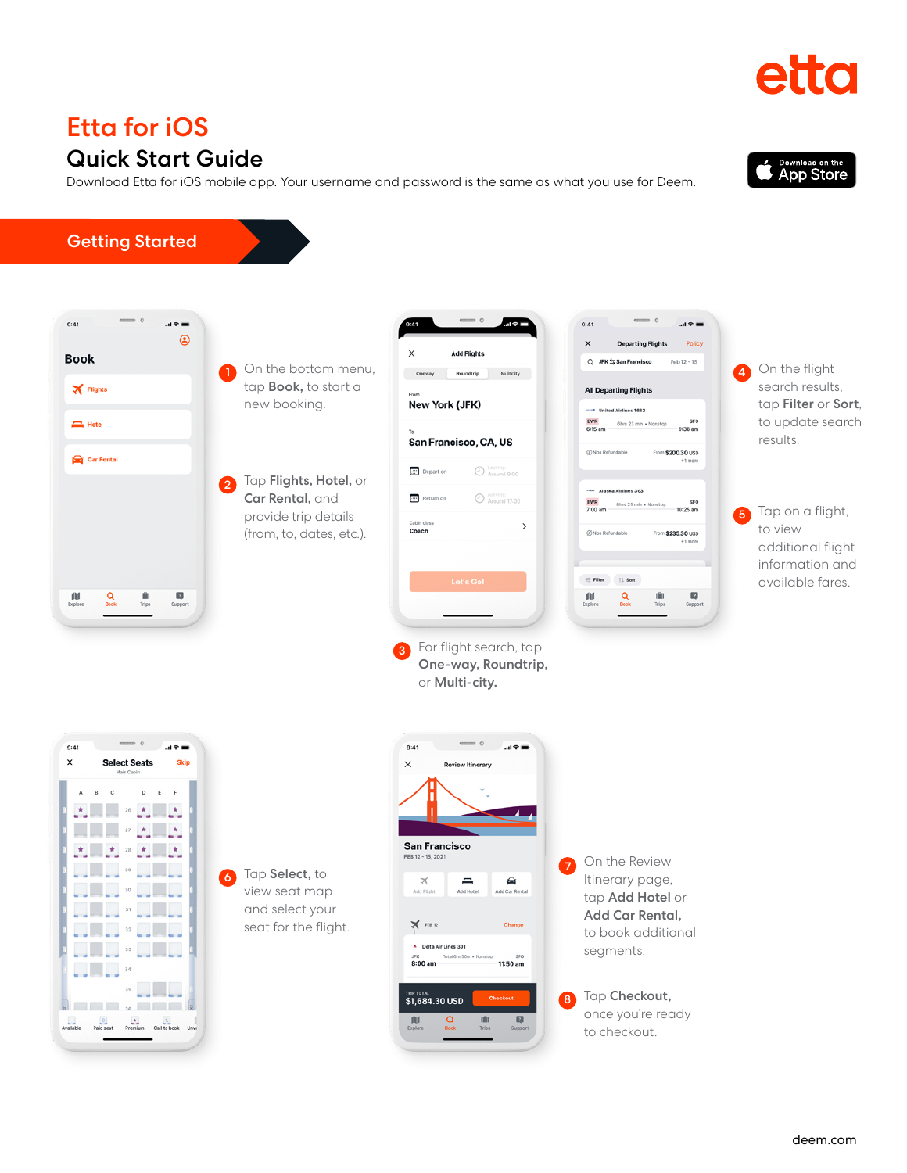once you're ready to checkout.

### Getting Started  $9:41$  $\mathbf{a} \cdot \mathbf{b}$  $9:41$  $\mathbf{m}$  $^{\circ}$ **Policy**  $\mathbf{x}$ **Departing Flights Add Flights**  $\times$ **Book** 4 On the flight On the bottom menu, www.wikipedia.com/wikipedia.com/wikipedia.com/wikipedia.com/wikipedia.com/wikipedia.com/wikipedia.com/wikipedia.com/wikipedia.com/wikipedia.com/wikipedia.com/wikipedia.com/wikipedia.com/wikipedia.com/wi tap Book, to start a  $\mathbf{X}$  Flights **All Departing Flights** new booking. New York (JFK) - United Airlines 1682  $\sum_{n=1}^{\infty}$  Hotel EWR<br>6:15 am 6hrs 23 min + Nonstop sFO<br>9:38 am San Francisco, CA, US From \$200.30 USD Car Rental **III** Depart on **C** Leaving:<br> **C** Around 9:00 Tap Flights, Hotel, or 2 Alaska Airlines 363 <sup>Arriving:</sup><br>2 Around 17:00 Car Rental, and **Return** on 6hrs 25 min sFO<br>10:25 am provide trip details 5  $\rightarrow$ Coach (from, to, dates, etc.). From \$235.30 USD  $\equiv$  Filter  $\qquad \uparrow \downarrow$  Sort N  $\blacksquare$ 吅 Q  $\Box$ For flight search, tap 3 One-way, Roundtrip, or Multi-city.  $9:41$  $AB =$  $9:41$  $\overline{AB}$  $\times$ **Select Seats**  $\times$ w Itinerary  $B$   $C$  $D$   $E$   $F$  $\Delta$ **San Francisco**  $\mathbb{F}_{2} = \mathbb{F}_{2} \times \mathbb{F}_{2} = \mathbb{F}_{2}$ On the Review 7 <u> Maria Maria I</u> Tap Select, to Itinerary page, 6  $\equiv$ 侖 **Maria Maria Ale** view seat map tap Add Hotel or **PERMIT AND A** and select your Add Car Rental, seat for the flight.  $\mathbb{X}$  FEB 12 **Maria Alban** to book additional Delta Air Lines 301 **FULLER LUBBER** segments. Total Ghr 50m + sro<br>11:50 am .ஈ.<br>8:00 am  $\overline{\phantom{a}}$   $\overline{\phantom{a}}$   $\overline{\phantom{a}}$   $\overline{\phantom{a}}$   $\overline{\phantom{a}}$   $\overline{\phantom{a}}$   $\overline{\phantom{a}}$   $\overline{\phantom{a}}$   $\overline{\phantom{a}}$   $\overline{\phantom{a}}$   $\overline{\phantom{a}}$   $\overline{\phantom{a}}$   $\overline{\phantom{a}}$   $\overline{\phantom{a}}$   $\overline{\phantom{a}}$   $\overline{\phantom{a}}$   $\overline{\phantom{a}}$   $\overline{\phantom{a}}$   $\overline{\$  $35$ Tap Checkout, \$1,684.30 USD 8

 $\mathsf{f}\mathsf{U}$ 

 $\alpha$ 

 $\mathbb{R}$ 

## Quick Start Guide

Download Etta for iOS mobile app. Your username and password is the same as what you use for Deem.

# Etta for iOS

Available Paid seat Premium Call to book Unv.







search results, tap Filter or Sort, to update search

Tap on a flight, to view

additional flight information and available fares.

results.